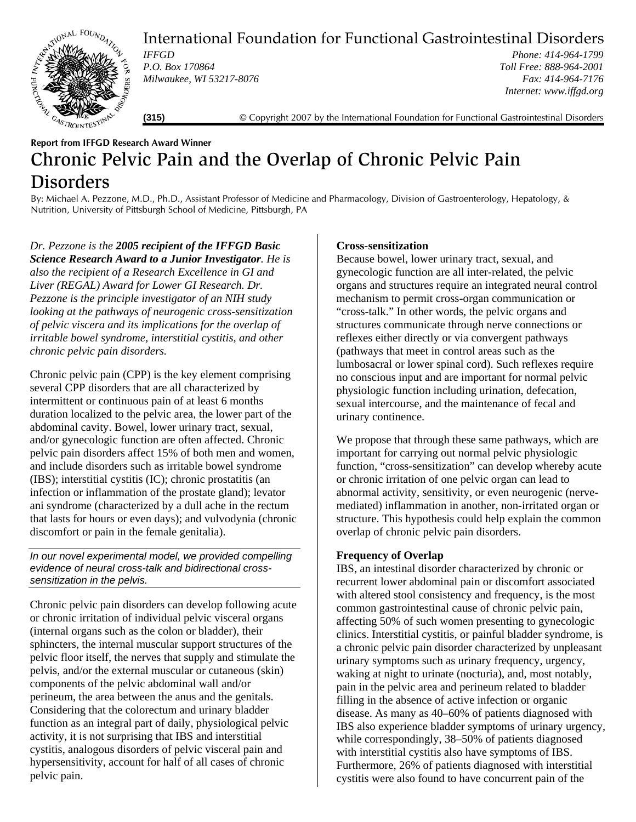

International Foundation for Functional Gastrointestinal Disorders

*IFFGD P.O. Box 170864 Milwaukee, WI 53217-8076* 

*Phone: 414-964-1799 Toll Free: 888-964-2001 Fax: 414-964-7176 Internet: www.iffgd.org*

**(315)** © Copyright 2007 by the International Foundation for Functional Gastrointestinal Disorders

# **Report from IFFGD Research Award Winner**  Chronic Pelvic Pain and the Overlap of Chronic Pelvic Pain Disorders

By: Michael A. Pezzone, M.D., Ph.D., Assistant Professor of Medicine and Pharmacology, Division of Gastroenterology, Hepatology, & Nutrition, University of Pittsburgh School of Medicine, Pittsburgh, PA

*Dr. Pezzone is the 2005 recipient of the IFFGD Basic Science Research Award to a Junior Investigator. He is also the recipient of a Research Excellence in GI and Liver (REGAL) Award for Lower GI Research. Dr. Pezzone is the principle investigator of an NIH study looking at the pathways of neurogenic cross-sensitization of pelvic viscera and its implications for the overlap of irritable bowel syndrome, interstitial cystitis, and other chronic pelvic pain disorders.*

Chronic pelvic pain (CPP) is the key element comprising several CPP disorders that are all characterized by intermittent or continuous pain of at least 6 months duration localized to the pelvic area, the lower part of the abdominal cavity. Bowel, lower urinary tract, sexual, and/or gynecologic function are often affected. Chronic pelvic pain disorders affect 15% of both men and women, and include disorders such as irritable bowel syndrome (IBS); interstitial cystitis (IC); chronic prostatitis (an infection or inflammation of the prostate gland); levator ani syndrome (characterized by a dull ache in the rectum that lasts for hours or even days); and vulvodynia (chronic discomfort or pain in the female genitalia).

*In our novel experimental model, we provided compelling evidence of neural cross-talk and bidirectional crosssensitization in the pelvis.* 

Chronic pelvic pain disorders can develop following acute or chronic irritation of individual pelvic visceral organs (internal organs such as the colon or bladder), their sphincters, the internal muscular support structures of the pelvic floor itself, the nerves that supply and stimulate the pelvis, and/or the external muscular or cutaneous (skin) components of the pelvic abdominal wall and/or perineum, the area between the anus and the genitals. Considering that the colorectum and urinary bladder function as an integral part of daily, physiological pelvic activity, it is not surprising that IBS and interstitial cystitis, analogous disorders of pelvic visceral pain and hypersensitivity, account for half of all cases of chronic pelvic pain.

# **Cross-sensitization**

Because bowel, lower urinary tract, sexual, and gynecologic function are all inter-related, the pelvic organs and structures require an integrated neural control mechanism to permit cross-organ communication or "cross-talk." In other words, the pelvic organs and structures communicate through nerve connections or reflexes either directly or via convergent pathways (pathways that meet in control areas such as the lumbosacral or lower spinal cord). Such reflexes require no conscious input and are important for normal pelvic physiologic function including urination, defecation, sexual intercourse, and the maintenance of fecal and urinary continence.

We propose that through these same pathways, which are important for carrying out normal pelvic physiologic function, "cross-sensitization" can develop whereby acute or chronic irritation of one pelvic organ can lead to abnormal activity, sensitivity, or even neurogenic (nervemediated) inflammation in another, non-irritated organ or structure. This hypothesis could help explain the common overlap of chronic pelvic pain disorders.

### **Frequency of Overlap**

IBS, an intestinal disorder characterized by chronic or recurrent lower abdominal pain or discomfort associated with altered stool consistency and frequency, is the most common gastrointestinal cause of chronic pelvic pain, affecting 50% of such women presenting to gynecologic clinics. Interstitial cystitis, or painful bladder syndrome, is a chronic pelvic pain disorder characterized by unpleasant urinary symptoms such as urinary frequency, urgency, waking at night to urinate (nocturia), and, most notably, pain in the pelvic area and perineum related to bladder filling in the absence of active infection or organic disease. As many as 40–60% of patients diagnosed with IBS also experience bladder symptoms of urinary urgency, while correspondingly, 38–50% of patients diagnosed with interstitial cystitis also have symptoms of IBS. Furthermore, 26% of patients diagnosed with interstitial cystitis were also found to have concurrent pain of the